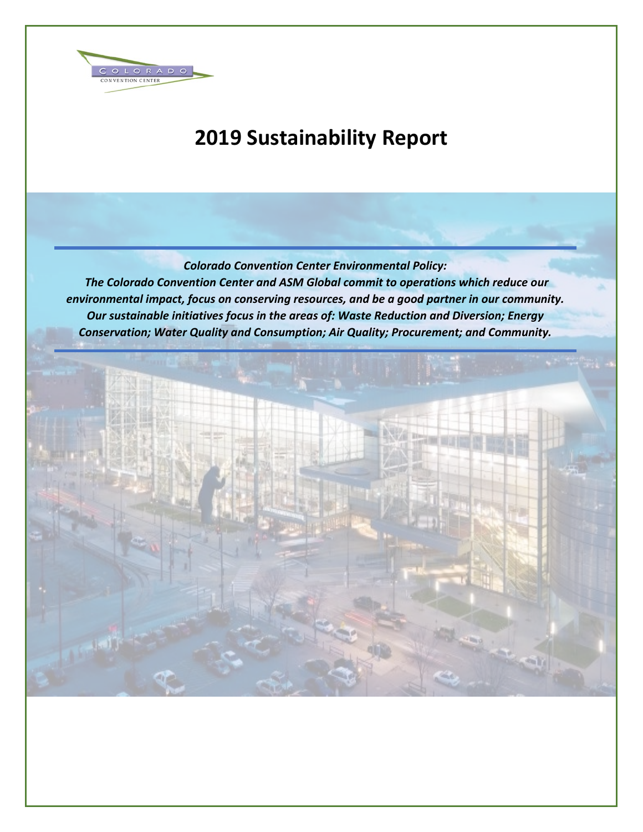

# **2019 Sustainability Report**

*Colorado Convention Center Environmental Policy:* 

*The Colorado Convention Center and ASM Global commit to operations which reduce our environmental impact, focus on conserving resources, and be a good partner in our community. Our sustainable initiatives focus in the areas of: Waste Reduction and Diversion; Energy Conservation; Water Quality and Consumption; Air Quality; Procurement; and Community.*

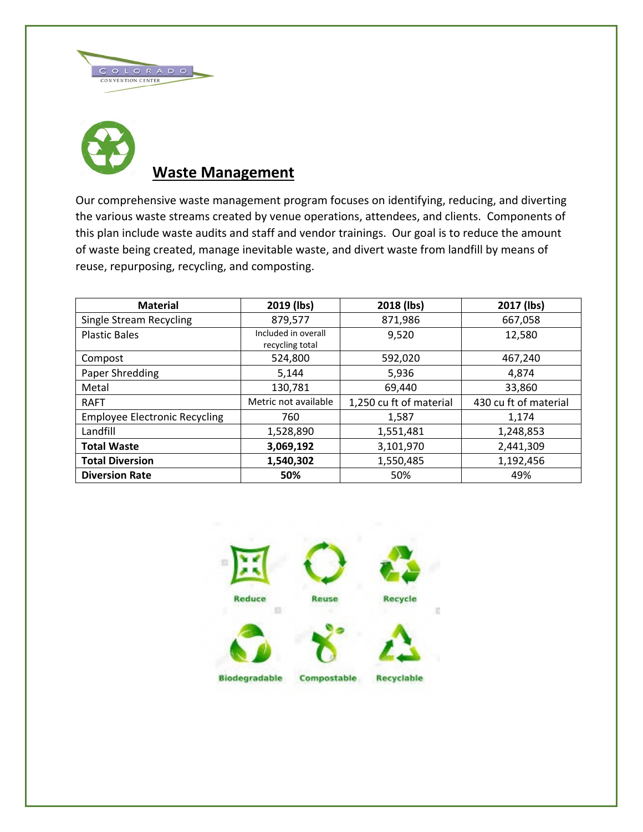



# **Waste Management**

Our comprehensive waste management program focuses on identifying, reducing, and diverting the various waste streams created by venue operations, attendees, and clients. Components of this plan include waste audits and staff and vendor trainings. Our goal is to reduce the amount of waste being created, manage inevitable waste, and divert waste from landfill by means of reuse, repurposing, recycling, and composting.

| <b>Material</b>                      | 2019 (lbs)                             | 2018 (lbs)              | 2017 (lbs)            |
|--------------------------------------|----------------------------------------|-------------------------|-----------------------|
| Single Stream Recycling              | 879,577                                | 871,986                 | 667,058               |
| <b>Plastic Bales</b>                 | Included in overall<br>recycling total | 9,520                   | 12,580                |
| Compost                              | 524,800                                | 592,020                 | 467,240               |
| Paper Shredding                      | 5,144                                  | 5,936                   | 4,874                 |
| Metal                                | 130,781                                | 69,440                  | 33,860                |
| <b>RAFT</b>                          | Metric not available                   | 1,250 cu ft of material | 430 cu ft of material |
| <b>Employee Electronic Recycling</b> | 760                                    | 1,587                   | 1,174                 |
| Landfill                             | 1,528,890                              | 1,551,481               | 1,248,853             |
| <b>Total Waste</b>                   | 3,069,192                              | 3,101,970               | 2,441,309             |
| <b>Total Diversion</b>               | 1,540,302                              | 1,550,485               | 1,192,456             |
| <b>Diversion Rate</b>                | 50%                                    | 50%                     | 49%                   |

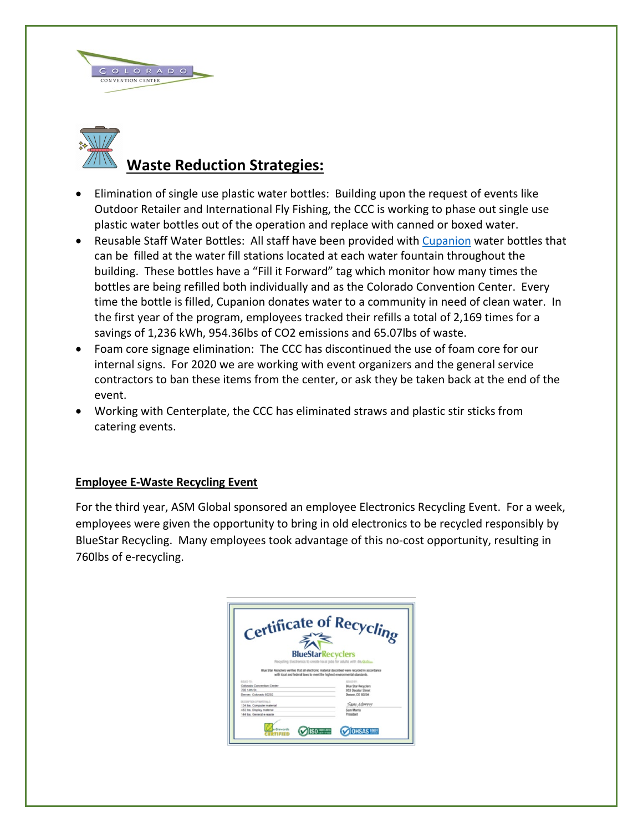



## **Waste Reduction Strategies:**

- Elimination of single use plastic water bottles: Building upon the request of events like Outdoor Retailer and International Fly Fishing, the CCC is working to phase out single use plastic water bottles out of the operation and replace with canned or boxed water.
- Reusable Staff Water Bottles: All staff have been provided with [Cupanion](http://cupanion.com/) water bottles that can be filled at the water fill stations located at each water fountain throughout the building. These bottles have a "Fill it Forward" tag which monitor how many times the bottles are being refilled both individually and as the Colorado Convention Center. Every time the bottle is filled, Cupanion donates water to a community in need of clean water. In the first year of the program, employees tracked their refills a total of 2,169 times for a savings of 1,236 kWh, 954.36lbs of CO2 emissions and 65.07lbs of waste.
- Foam core signage elimination: The CCC has discontinued the use of foam core for our internal signs. For 2020 we are working with event organizers and the general service contractors to ban these items from the center, or ask they be taken back at the end of the event.
- Working with Centerplate, the CCC has eliminated straws and plastic stir sticks from catering events.

### **Employee E-Waste Recycling Event**

For the third year, ASM Global sponsored an employee Electronics Recycling Event. For a week, employees were given the opportunity to bring in old electronics to be recycled responsibly by BlueStar Recycling. Many employees took advantage of this no-cost opportunity, resulting in 760lbs of e-recycling.

| Certificate of Recycling<br><b>BlueStarRecyclers</b>                                                                                                                                                                                                                                                                                             |                                                                                         |
|--------------------------------------------------------------------------------------------------------------------------------------------------------------------------------------------------------------------------------------------------------------------------------------------------------------------------------------------------|-----------------------------------------------------------------------------------------|
| Recycling Electronics to create local jobs for adults with dis-Matrix»<br>Blue Star Recyclers verifies that all electronic material described were recycled in accordance<br>with local and federal laws to meet the highest environmental standards.<br><b>KOLED TO</b><br>Colorado Convention Center<br>700 14th St.<br>Denver, Colorado 80202 | <b>COLED BY</b><br><b>Blue Star Recyclers</b><br>953 Decatur Street<br>Denver, CO 80204 |
| DESCRIPTION OF NATURALS<br>134 lbs. Computer material<br>482 lbs. Display material<br>144 lbs. General e-waste                                                                                                                                                                                                                                   | Sam Morris<br><b>Sam Morris</b><br>President                                            |
| <b>ISO</b> MART 2015                                                                                                                                                                                                                                                                                                                             | <b>ISAS 18001</b>                                                                       |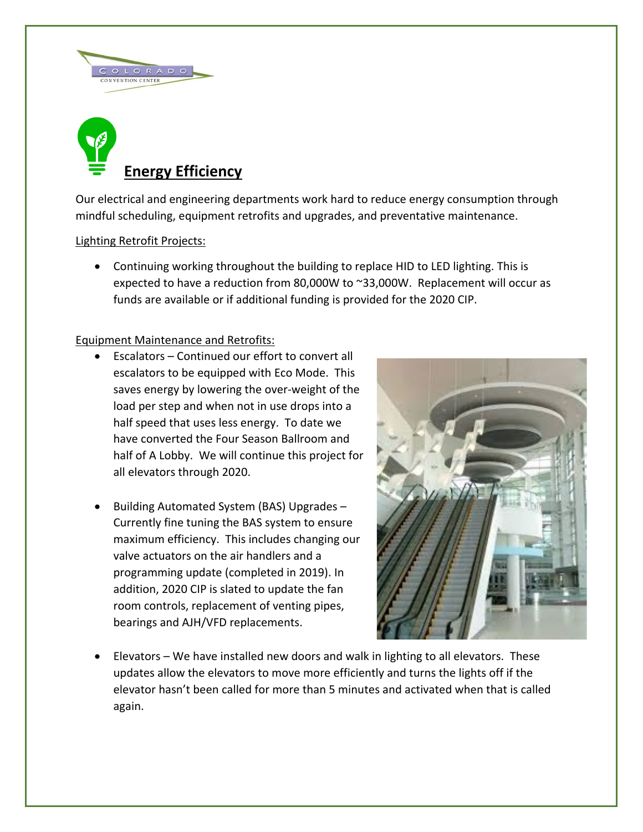



Our electrical and engineering departments work hard to reduce energy consumption through mindful scheduling, equipment retrofits and upgrades, and preventative maintenance.

### Lighting Retrofit Projects:

• Continuing working throughout the building to replace HID to LED lighting. This is expected to have a reduction from 80,000W to ~33,000W. Replacement will occur as funds are available or if additional funding is provided for the 2020 CIP.

### Equipment Maintenance and Retrofits:

- Escalators Continued our effort to convert all escalators to be equipped with Eco Mode. This saves energy by lowering the over-weight of the load per step and when not in use drops into a half speed that uses less energy. To date we have converted the Four Season Ballroom and half of A Lobby. We will continue this project for all elevators through 2020.
- Building Automated System (BAS) Upgrades Currently fine tuning the BAS system to ensure maximum efficiency. This includes changing our valve actuators on the air handlers and a programming update (completed in 2019). In addition, 2020 CIP is slated to update the fan room controls, replacement of venting pipes, bearings and AJH/VFD replacements.



• Elevators – We have installed new doors and walk in lighting to all elevators. These updates allow the elevators to move more efficiently and turns the lights off if the elevator hasn't been called for more than 5 minutes and activated when that is called again.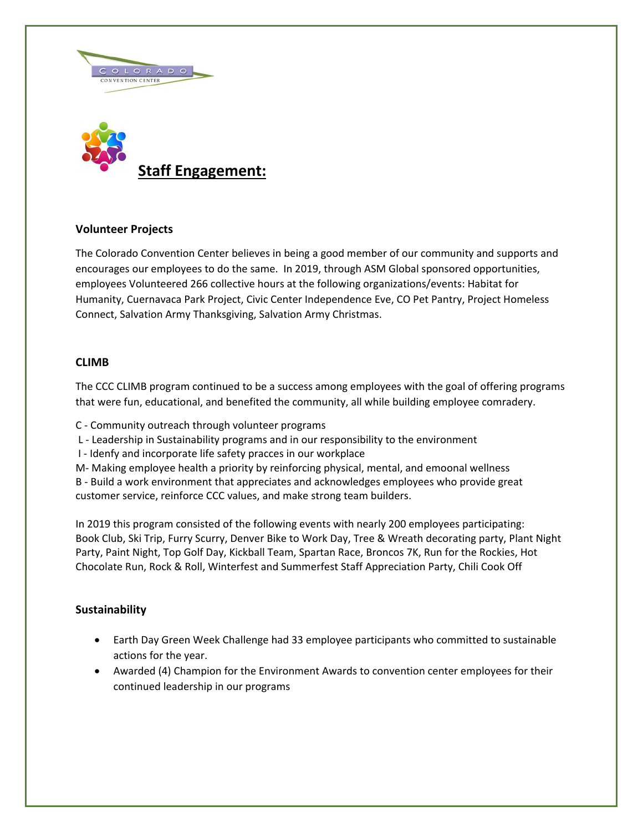



#### **Volunteer Projects**

The Colorado Convention Center believes in being a good member of our community and supports and encourages our employees to do the same. In 2019, through ASM Global sponsored opportunities, employees Volunteered 266 collective hours at the following organizations/events: Habitat for Humanity, Cuernavaca Park Project, Civic Center Independence Eve, CO Pet Pantry, Project Homeless Connect, Salvation Army Thanksgiving, Salvation Army Christmas.

#### **CLIMB**

The CCC CLIMB program continued to be a success among employees with the goal of offering programs that were fun, educational, and benefited the community, all while building employee comradery.

C - Community outreach through volunteer programs

L - Leadership in Sustainability programs and in our responsibility to the environment

I - Idenfy and incorporate life safety pracces in our workplace

M- Making employee health a priority by reinforcing physical, mental, and emoonal wellness B - Build a work environment that appreciates and acknowledges employees who provide great customer service, reinforce CCC values, and make strong team builders.

In 2019 this program consisted of the following events with nearly 200 employees participating: Book Club, Ski Trip, Furry Scurry, Denver Bike to Work Day, Tree & Wreath decorating party, Plant Night Party, Paint Night, Top Golf Day, Kickball Team, Spartan Race, Broncos 7K, Run for the Rockies, Hot Chocolate Run, Rock & Roll, Winterfest and Summerfest Staff Appreciation Party, Chili Cook Off

### **Sustainability**

- Earth Day Green Week Challenge had 33 employee participants who committed to sustainable actions for the year.
- Awarded (4) Champion for the Environment Awards to convention center employees for their continued leadership in our programs